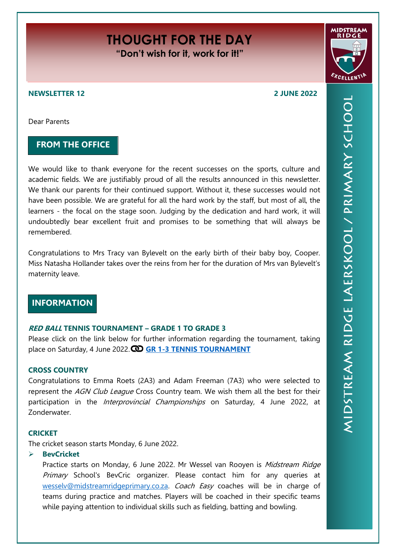# **THOUGHT FOR THE DAY "Don't wish for it, work for it!"**

# **NEWSLETTER 12 2 JUNE 2022**

Dear Parents

# **FROM THE OFFICE**

We would like to thank everyone for the recent successes on the sports, culture and academic fields. We are justifiably proud of all the results announced in this newsletter. We thank our parents for their continued support. Without it, these successes would not have been possible. We are grateful for all the hard work by the staff, but most of all, the learners - the focal on the stage soon. Judging by the dedication and hard work, it will undoubtedly bear excellent fruit and promises to be something that will always be remembered.

Congratulations to Mrs Tracy van Bylevelt on the early birth of their baby boy, Cooper. Miss Natasha Hollander takes over the reins from her for the duration of Mrs van Bylevelt's maternity leave.

# **INFORMATION**

#### **RED BALL TENNIS TOURNAMENT – GRADE 1 TO GRADE 3**

Please click on the link below for further information regarding the tournament, taking place on Saturday, 4 June 2022. **[GR 1-3 TENNIS TOURNAMENT](https://midstreamridgeprimary.co.za/wp-content/uploads/2022/05/Tennis-Gr1-3-pamflet.jpg)**

# **CROSS COUNTRY**

Congratulations to Emma Roets (2A3) and Adam Freeman (7A3) who were selected to represent the AGN Club League Cross Country team. We wish them all the best for their participation in the *Interprovincial Championships* on Saturday, 4 June 2022, at Zonderwater.

#### **CRICKET**

The cricket season starts Monday, 6 June 2022.

**BevCricket**

Practice starts on Monday, 6 June 2022. Mr Wessel van Rooyen is Midstream Ridge Primary School's BevCric organizer. Please contact him for any queries at [wesselv@midstreamridgeprimary.co.za.](mailto:wesselv@midstreamridgeprimary.co.za) Coach Easy coaches will be in charge of teams during practice and matches. Players will be coached in their specific teams while paying attention to individual skills such as fielding, batting and bowling.

**MIDSTR** 

EXCELLENTIP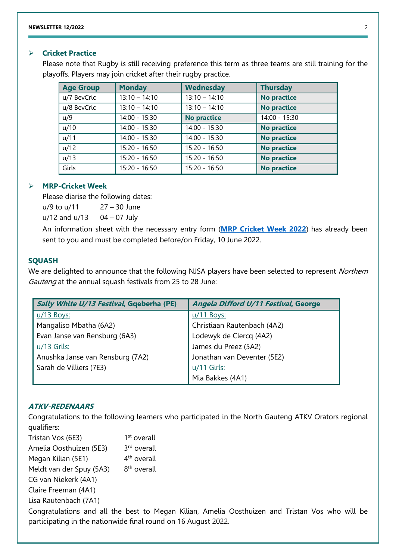# **Cricket Practice**

Please note that Rugby is still receiving preference this term as three teams are still training for the playoffs. Players may join cricket after their rugby practice.

| <b>Age Group</b> | <b>Monday</b>   | <b>Wednesday</b>   | <b>Thursday</b>    |
|------------------|-----------------|--------------------|--------------------|
| u/7 BevCric      | $13:10 - 14:10$ | $13:10 - 14:10$    | <b>No practice</b> |
| u/8 BevCric      | $13:10 - 14:10$ | $13:10 - 14:10$    | <b>No practice</b> |
| u/9              | 14:00 - 15:30   | <b>No practice</b> | $14:00 - 15:30$    |
| u/10             | 14:00 - 15:30   | $14:00 - 15:30$    | <b>No practice</b> |
| u/11             | 14:00 - 15:30   | $14:00 - 15:30$    | <b>No practice</b> |
| u/12             | $15:20 - 16:50$ | $15:20 - 16:50$    | <b>No practice</b> |
| u/13             | 15:20 - 16:50   | $15:20 - 16:50$    | <b>No practice</b> |
| Girls            | 15:20 - 16:50   | $15:20 - 16:50$    | <b>No practice</b> |

# **MRP-Cricket Week**

Please diarise the following dates:

u/9 to u/11 27 – 30 June

 $u/12$  and  $u/13$  04 – 07 July

An information sheet with the necessary entry form (**[MRP Cricket Week 2022](https://docs.google.com/forms/d/e/1FAIpQLSdkKSC6MUz1ia4Z3dhQzaAVjj0aiKqdDINqQiopykUbjIDM1w/viewform?usp=sf_link)**) has already been sent to you and must be completed before/on Friday, 10 June 2022.

# **SQUASH**

We are delighted to announce that the following NJSA players have been selected to represent Northern Gauteng at the annual squash festivals from 25 to 28 June:

| Sally White U/13 Festival, Gqeberha (PE) | <b>Angela Difford U/11 Festival, George</b> |  |
|------------------------------------------|---------------------------------------------|--|
| u/13 Boys:                               | <u>u/11 Boys:</u>                           |  |
| Mangaliso Mbatha (6A2)                   | Christiaan Rautenbach (4A2)                 |  |
| Evan Janse van Rensburg (6A3)            | Lodewyk de Clercq (4A2)                     |  |
| $u/13$ Grils:                            | James du Preez (5A2)                        |  |
| Anushka Janse van Rensburg (7A2)         | Jonathan van Deventer (5E2)                 |  |
| Sarah de Villiers (7E3)                  | u/11 Girls:                                 |  |
|                                          | Mia Bakkes (4A1)                            |  |

# **ATKV-REDENAARS**

Congratulations to the following learners who participated in the North Gauteng ATKV Orators regional qualifiers:

Tristan Vos (6E3) 1 1<sup>st</sup> overall Amelia Oosthuizen (5E3) 3 3<sup>rd</sup> overall Megan Kilian (5E1) 4  $4<sup>th</sup>$  overall Meldt van der Spuy (5A3) 8 8<sup>th</sup> overall CG van Niekerk (4A1) Claire Freeman (4A1) Lisa Rautenbach (7A1) Congratulations and all the best to Megan Kilian, Amelia Oosthuizen and Tristan Vos who will be participating in the nationwide final round on 16 August 2022.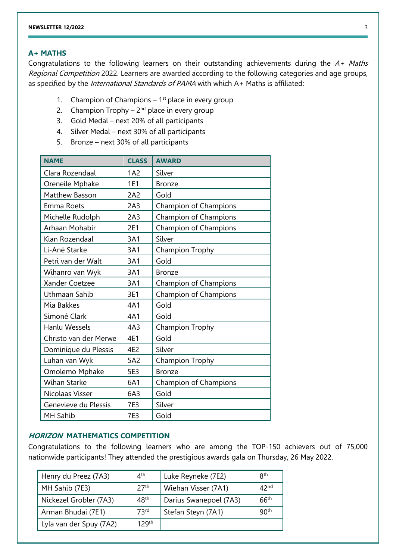# **A+ MATHS**

Congratulations to the following learners on their outstanding achievements during the  $A+$  Maths Regional Competition 2022. Learners are awarded according to the following categories and age groups, as specified by the *International Standards of PAMA* with which A+ Maths is affiliated:

- 1. Champion of Champions  $-1$ <sup>st</sup> place in every group
- 2. Champion Trophy  $-2<sup>nd</sup>$  place in every group
- 3. Gold Medal next 20% of all participants
- 4. Silver Medal next 30% of all participants
- 5. Bronze next 30% of all participants

| <b>NAME</b>           | <b>CLASS</b>    | <b>AWARD</b>          |
|-----------------------|-----------------|-----------------------|
|                       |                 |                       |
| Clara Rozendaal       | 1A2             | Silver                |
| Oreneile Mphake       | 1E1             | <b>Bronze</b>         |
| Matthew Basson        | 2A2             | Gold                  |
| <b>Emma Roets</b>     | 2A3             | Champion of Champions |
| Michelle Rudolph      | 2A3             | Champion of Champions |
| Arhaan Mohabir        | <b>2E1</b>      | Champion of Champions |
| Kian Rozendaal        | 3A1             | Silver                |
| Li-Ané Starke         | 3A1             | Champion Trophy       |
| Petri van der Walt    | 3A1             | Gold                  |
| Wihanro van Wyk       | 3A1             | <b>Bronze</b>         |
| Xander Coetzee        | 3A1             | Champion of Champions |
| Uthmaan Sahib         | 3E1             | Champion of Champions |
| Mia Bakkes            | 4A1             | Gold                  |
| Simoné Clark          | 4A1             | Gold                  |
| Hanlu Wessels         | 4A <sub>3</sub> | Champion Trophy       |
| Christo van der Merwe | 4E1             | Gold                  |
| Dominique du Plessis  | 4E2             | Silver                |
| Luhan van Wyk         | 5A2             | Champion Trophy       |
| Omolemo Mphake        | 5E3             | <b>Bronze</b>         |
| <b>Wihan Starke</b>   | 6A1             | Champion of Champions |
| Nicolaas Visser       | 6A3             | Gold                  |
| Genevieve du Plessis  | <b>7E3</b>      | Silver                |
| <b>MH Sahib</b>       | <b>7E3</b>      | Gold                  |

# **HORIZON MATHEMATICS COMPETITION**

Congratulations to the following learners who are among the TOP-150 achievers out of 75,000 nationwide participants! They attended the prestigious awards gala on Thursday, 26 May 2022.

| Henry du Preez (7A3)    | $\varDelta^{\text{th}}$ | Luke Reyneke (7E2)     | <b>Rth</b>       |
|-------------------------|-------------------------|------------------------|------------------|
| MH Sahib (7E3)          | 27 <sup>th</sup>        | Wiehan Visser (7A1)    | 42 <sub>nd</sub> |
| Nickezel Grobler (7A3)  | 48 <sup>th</sup>        | Darius Swanepoel (7A3) | 66 <sup>th</sup> |
| Arman Bhudai (7E1)      | 73 <sup>rd</sup>        | Stefan Steyn (7A1)     | 90 <sup>th</sup> |
| Lyla van der Spuy (7A2) | 129 <sup>th</sup>       |                        |                  |